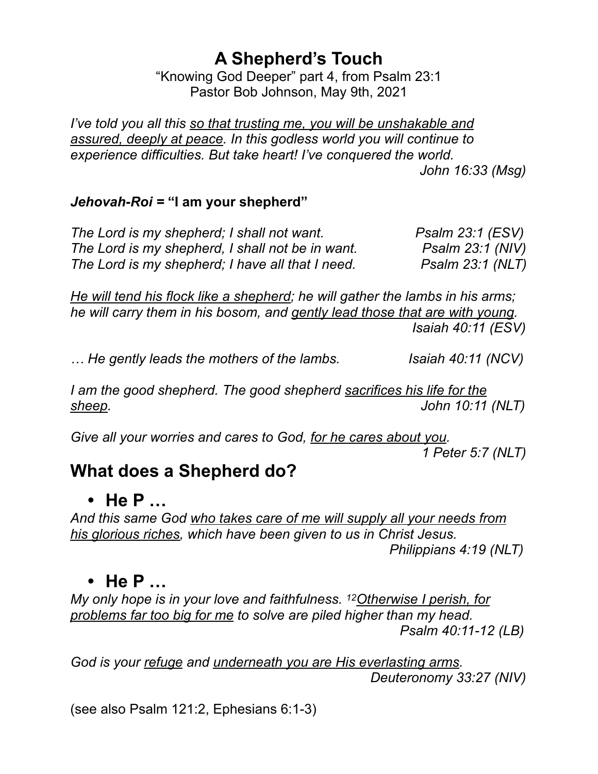### **A Shepherd's Touch**

"Knowing God Deeper" part 4, from Psalm 23:1 Pastor Bob Johnson, May 9th, 2021

*I've told you all this so that trusting me, you will be unshakable and assured, deeply at peace. In this godless world you will continue to experience difficulties. But take heart! I've conquered the world. John 16:33 (Msg)*

#### *Jehovah-Roi =* **"I am your shepherd"**

*The Lord is my shepherd; I shall not want.* Psalm 23:1 (ESV) *The Lord is my shepherd, I shall not be in want. Psalm 23:1 (NIV) The Lord is my shepherd; I have all that I need. Psalm 23:1 (NLT)*

*He will tend his flock like a shepherd; he will gather the lambs in his arms; he will carry them in his bosom, and gently lead those that are with young. Isaiah 40:11 (ESV)*

*… He gently leads the mothers of the lambs. Isaiah 40:11 (NCV)*

*I am the good shepherd. The good shepherd sacrifices his life for the sheep. John 10:11 (NLT)*

*Give all your worries and cares to God, for he cares about you. 1 Peter 5:7 (NLT)*

#### **What does a Shepherd do?**

#### **• He P …**

*And this same God who takes care of me will supply all your needs from his glorious riches, which have been given to us in Christ Jesus. Philippians 4:19 (NLT)*

#### **• He P …**

*My only hope is in your love and faithfulness. 12Otherwise I perish, for problems far too big for me to solve are piled higher than my head. Psalm 40:11-12 (LB)*

*God is your refuge and underneath you are His everlasting arms. Deuteronomy 33:27 (NIV)* 

(see also Psalm 121:2, Ephesians 6:1-3)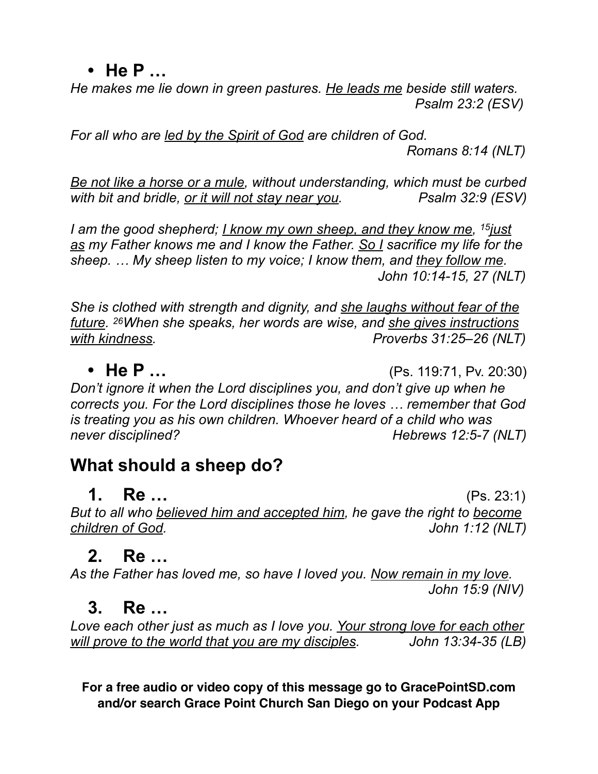**• He P …**

*He makes me lie down in green pastures. He leads me beside still waters. Psalm 23:2 (ESV)*

*For all who are led by the Spirit of God are children of God.*

 *Romans 8:14 (NLT)*

*Be not like a horse or a mule, without understanding, which must be curbed*  with bit and bridle, <u>or it will not stay near you</u>. Psalm 32:9 (ESV)

*I am the good shepherd; I know my own sheep, and they know me, 15just as my Father knows me and I know the Father. So I sacrifice my life for the sheep. … My sheep listen to my voice; I know them, and they follow me. John 10:14-15, 27 (NLT)*

*She is clothed with strength and dignity, and she laughs without fear of the future. 26When she speaks, her words are wise, and she gives instructions with kindness. Proverbs 31:25–26 (NLT)*

**• He P …** (Ps. 119:71, Pv. 20:30) *Don't ignore it when the Lord disciplines you, and don't give up when he corrects you. For the Lord disciplines those he loves … remember that God is treating you as his own children. Whoever heard of a child who was never disciplined? Hebrews 12:5-7 (NLT)* 

# **What should a sheep do?**

**1. Re …** (Ps. 23:1) *But to all who believed him and accepted him, he gave the right to become children of God. John 1:12 (NLT)*

# **2. Re …**

*As the Father has loved me, so have I loved you. Now remain in my love. John 15:9 (NIV)*

# **3. Re …**

*Love each other just as much as I love you. Your strong love for each other will prove to the world that you are my disciples. John 13:34-35 (LB)*

**For a free audio or video copy of this message go to GracePointSD.com and/or search Grace Point Church San Diego on your Podcast App**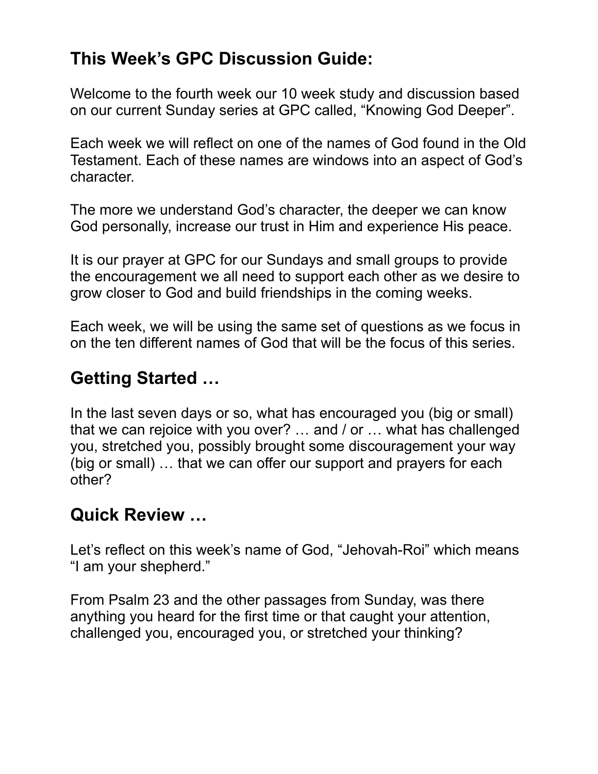### **This Week's GPC Discussion Guide:**

Welcome to the fourth week our 10 week study and discussion based on our current Sunday series at GPC called, "Knowing God Deeper".

Each week we will reflect on one of the names of God found in the Old Testament. Each of these names are windows into an aspect of God's character.

The more we understand God's character, the deeper we can know God personally, increase our trust in Him and experience His peace.

It is our prayer at GPC for our Sundays and small groups to provide the encouragement we all need to support each other as we desire to grow closer to God and build friendships in the coming weeks.

Each week, we will be using the same set of questions as we focus in on the ten different names of God that will be the focus of this series.

### **Getting Started …**

In the last seven days or so, what has encouraged you (big or small) that we can rejoice with you over? … and / or … what has challenged you, stretched you, possibly brought some discouragement your way (big or small) … that we can offer our support and prayers for each other?

#### **Quick Review …**

Let's reflect on this week's name of God, "Jehovah-Roi" which means "I am your shepherd."

From Psalm 23 and the other passages from Sunday, was there anything you heard for the first time or that caught your attention, challenged you, encouraged you, or stretched your thinking?